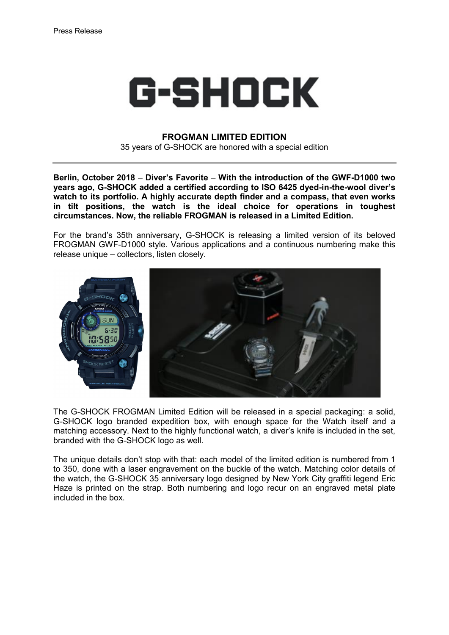

## **FROGMAN LIMITED EDITION**

35 years of G-SHOCK are honored with a special edition

**Berlin, October 2018** – **Diver's Favorite** – **With the introduction of the GWF-D1000 two years ago, G-SHOCK added a certified according to ISO 6425 dyed-in-the-wool diver's watch to its portfolio. A highly accurate depth finder and a compass, that even works in tilt positions, the watch is the ideal choice for operations in toughest circumstances. Now, the reliable FROGMAN is released in a Limited Edition.** 

For the brand's 35th anniversary, G-SHOCK is releasing a limited version of its beloved FROGMAN GWF-D1000 style. Various applications and a continuous numbering make this release unique – collectors, listen closely.



The G-SHOCK FROGMAN Limited Edition will be released in a special packaging: a solid, G-SHOCK logo branded expedition box, with enough space for the Watch itself and a matching accessory. Next to the highly functional watch, a diver's knife is included in the set, branded with the G-SHOCK logo as well.

The unique details don't stop with that: each model of the limited edition is numbered from 1 to 350, done with a laser engravement on the buckle of the watch. Matching color details of the watch, the G-SHOCK 35 anniversary logo designed by New York City graffiti legend Eric Haze is printed on the strap. Both numbering and logo recur on an engraved metal plate included in the box.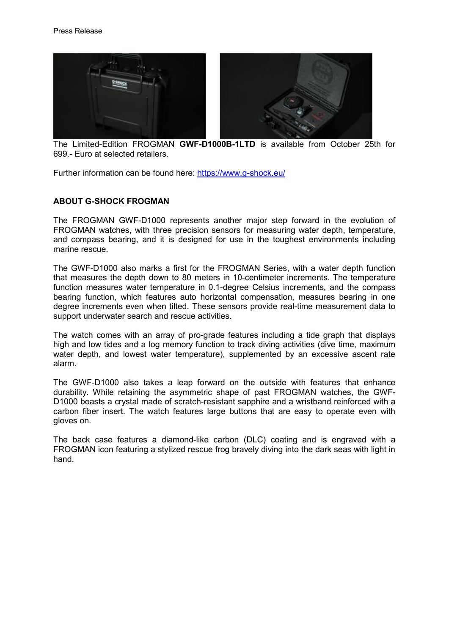

 The Limited-Edition FROGMAN **GWF-D1000B-1LTD** is available from October 25th for 699.- Euro at selected retailers.

Further information can be found here:<https://www.g-shock.eu/>

## **ABOUT G-SHOCK FROGMAN**

The FROGMAN GWF-D1000 represents another major step forward in the evolution of FROGMAN watches, with three precision sensors for measuring water depth, temperature, and compass bearing, and it is designed for use in the toughest environments including marine rescue.

The GWF-D1000 also marks a first for the FROGMAN Series, with a water depth function that measures the depth down to 80 meters in 10-centimeter increments. The temperature function measures water temperature in 0.1-degree Celsius increments, and the compass bearing function, which features auto horizontal compensation, measures bearing in one degree increments even when tilted. These sensors provide real-time measurement data to support underwater search and rescue activities.

The watch comes with an array of pro-grade features including a tide graph that displays high and low tides and a log memory function to track diving activities (dive time, maximum water depth, and lowest water temperature), supplemented by an excessive ascent rate alarm.

The GWF-D1000 also takes a leap forward on the outside with features that enhance durability. While retaining the asymmetric shape of past FROGMAN watches, the GWF-D1000 boasts a crystal made of scratch-resistant sapphire and a wristband reinforced with a carbon fiber insert. The watch features large buttons that are easy to operate even with gloves on.

The back case features a diamond-like carbon (DLC) coating and is engraved with a FROGMAN icon featuring a stylized rescue frog bravely diving into the dark seas with light in hand.